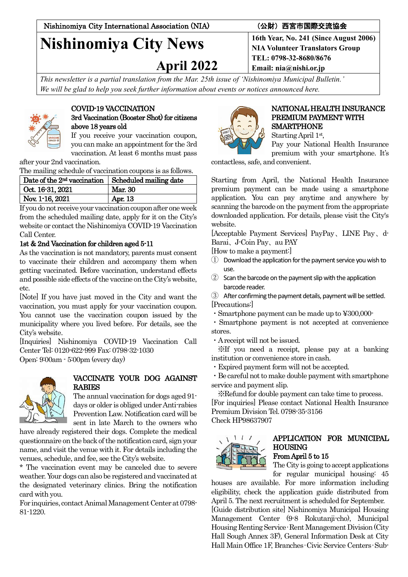Nishinomiya City International Association (NIA) (公財)西宮市国際交流協会

# **Nishinomiya City News**

 **April 2022**

**16th Year, No. 241 (Since August 2006) NIA Volunteer Translators Group TEL: 0798-32-8680/8676 Email: nia@nishi.or.jp**

*This newsletter is a partial translation from the Mar. 25th issue of 'Nishinomiya Municipal Bulletin.' We will be glad to help you seek further information about events or notices announced here.*



### COVID-19 VACCINATION 3rd Vaccination (Booster Shot) for citizens above 18 years old

If you receive your vaccination coupon, you can make an appointment for the 3rd vaccination. At least 6 months must pass

after your 2nd vaccination.

The mailing schedule of vaccination coupons is as follows.

| Date of the $2nd$ vaccination   Scheduled mailing date |                |
|--------------------------------------------------------|----------------|
| $\vert$ Oct. 16-31, 2021                               | <b>Mar. 30</b> |
| $\vert$ Nov. 1-16, 2021                                | Apr. 13        |

If you do not receive your vaccination coupon after one week from the scheduled mailing date, apply for it on the City's website or contact the Nishinomiya COVID-19 Vaccination Call Center.

## 1st & 2nd Vaccination for children aged 5-11

As the vaccination is not mandatory, parents must consent to vaccinate their children and accompany them when getting vaccinated. Before vaccination, understand effects and possible side effects of the vaccine on the City's website, etc.

[Note] If you have just moved in the City and want the vaccination, you must apply for your vaccination coupon. You cannot use the vaccination coupon issued by the municipality where you lived before. For details, see the City's website.

[Inquiries] Nishinomiya COVID-19 Vaccination Call Center Tel: 0120-622-999 Fax: 0798-32-1030 Open: 9:00am - 5:00pm (every day)



# VACCINATE YOUR DOG AGAINST RABIES

The annual vaccination for dogs aged 91 days or older is obliged under Anti-rabies Prevention Law. Notification card will be sent in late March to the owners who

have already registered their dogs. Complete the medical questionnaire on the back of the notification card, sign your name, and visit the venue with it. For details including the venues, schedule, and fee, see the City's website.

\* The vaccination event may be canceled due to severe weather. Your dogs can also be registered and vaccinatedat the designated veterinary clinics. Bring the notification card with you.

For inquiries, contact Animal Management Center at 0798- 81-1220.



#### NATIONAL HEALTH INSURANCE PREMIUM PAYMENT WITH SMARTPHONE

Starting April 1st,

Pay your National Health Insurance premium with your smartphone. It's

contactless, safe, and convenient.

Starting from April, the National Health Insurance premium payment can be made using a smartphone application. You can pay anytime and anywhere by scanning the barcode on the payment from the appropriate downloaded application. For details, please visit the City's website.

[Acceptable Payment Services] PayPay、LINE Pay、d-Barai、J-Coin Pay、au PAY

[How to make a payment:]

- $\Omega$  Download the application for the payment service you wish to use.
- ② Scan the barcode on the payment slip with the application barcode reader.

③ After confirming the payment details, payment will be settled. [Precautions:]

・Smartphone payment can be made up to ¥300,000-

・Smartphone payment is not accepted at convenience stores.

・Areceipt will not be issued.

 ※If you need a receipt, please pay at a banking institution or convenience store in cash.

・Expired payment form will not be accepted.

・Be careful not to make double payment with smartphone service and payment slip.

※Refund for double payment can take time to process.

[For inquiries] Please contact National Health Insurance Premium Division Tel. 0798-35-3156 Check HP98637907



# APPLICATION FOR MUNICIPAL HOUSING

From April 5 to 15

The City is going to accept applications

for regular municipal housing: 45 houses are available. For more information including eligibility, check the application guide distributed from

April 5. The next recruitment is scheduled for September. [Guide distribution site] Nishinomiya Municipal Housing Management Center (9-8 Rokutanji-cho), Municipal Housing Renting Service∙Rent Management Division (City Hall Sough Annex 3F), General Information Desk at City Hall Main Office 1F, Branches∙Civic Service Centers∙Sub